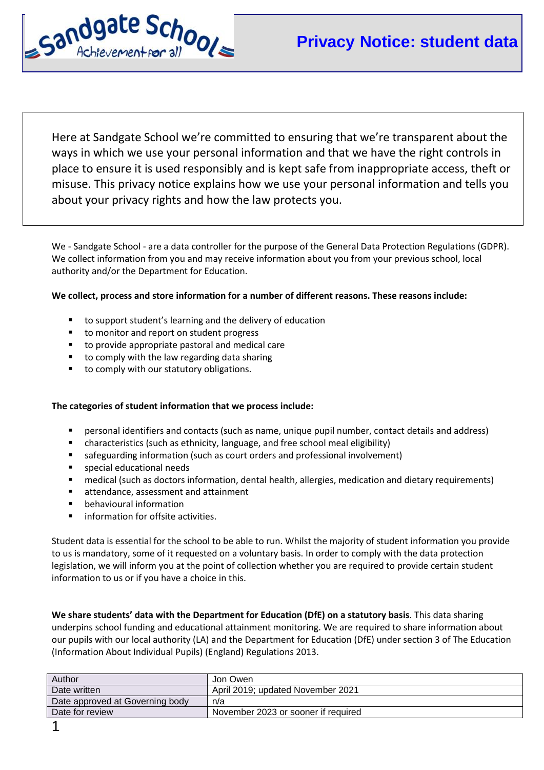

Here at Sandgate School we're committed to ensuring that we're transparent about the ways in which we use your personal information and that we have the right controls in place to ensure it is used responsibly and is kept safe from inappropriate access, theft or misuse. This privacy notice explains how we use your personal information and tells you about your privacy rights and how the law protects you.

We - Sandgate School - are a data controller for the purpose of the General Data Protection Regulations (GDPR). We collect information from you and may receive information about you from your previous school, local authority and/or the Department for Education.

# **We collect, process and store information for a number of different reasons. These reasons include:**

- to support student's learning and the delivery of education
- to monitor and report on student progress
- to provide appropriate pastoral and medical care
- to comply with the law regarding data sharing
- to comply with our statutory obligations.

### **The categories of student information that we process include:**

- personal identifiers and contacts (such as name, unique pupil number, contact details and address)
- characteristics (such as ethnicity, language, and free school meal eligibility)
- safeguarding information (such as court orders and professional involvement)
- **special educational needs**
- medical (such as doctors information, dental health, allergies, medication and dietary requirements)
- **EXTER** attendance, assessment and attainment
- **•** behavioural information
- information for offsite activities.

Student data is essential for the school to be able to run. Whilst the majority of student information you provide to us is mandatory, some of it requested on a voluntary basis. In order to comply with the data protection legislation, we will inform you at the point of collection whether you are required to provide certain student information to us or if you have a choice in this.

**We share students' data with the Department for Education (DfE) on a statutory basis**. This data sharing underpins school funding and educational attainment monitoring. We are required to share information about our pupils with our local authority (LA) and the Department for Education (DfE) under section 3 of The Education (Information About Individual Pupils) (England) Regulations 2013.

| Author                          | Jon Owen                            |
|---------------------------------|-------------------------------------|
| Date written                    | April 2019; updated November 2021   |
| Date approved at Governing body | n/a                                 |
| Date for review                 | November 2023 or sooner if required |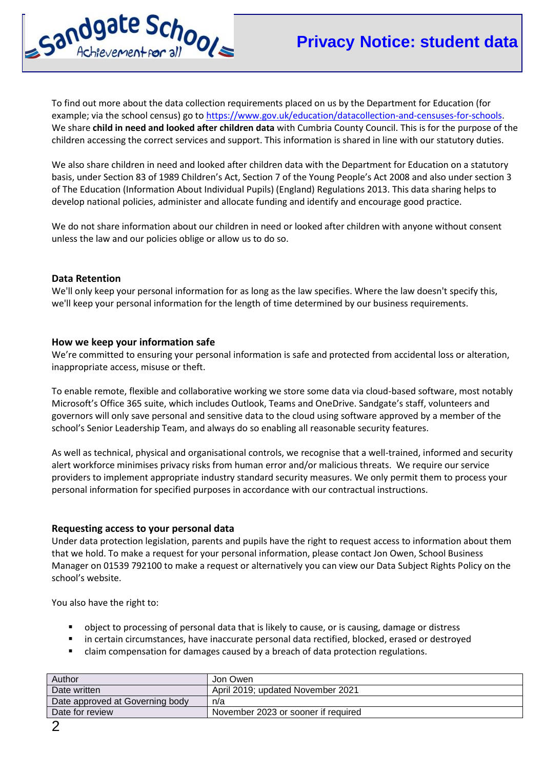

To find out more about the data collection requirements placed on us by the Department for Education (for example; via the school census) go to [https://www.gov.uk/education/datacollection-and-censuses-for-schools.](https://www.gov.uk/education/datacollection-and-censuses-for-schools) We share **child in need and looked after children data** with Cumbria County Council. This is for the purpose of the children accessing the correct services and support. This information is shared in line with our statutory duties.

We also share children in need and looked after children data with the Department for Education on a statutory basis, under Section 83 of 1989 Children's Act, Section 7 of the Young People's Act 2008 and also under section 3 of The Education (Information About Individual Pupils) (England) Regulations 2013. This data sharing helps to develop national policies, administer and allocate funding and identify and encourage good practice.

We do not share information about our children in need or looked after children with anyone without consent unless the law and our policies oblige or allow us to do so.

## **Data Retention**

We'll only keep your personal information for as long as the law specifies. Where the law doesn't specify this, we'll keep your personal information for the length of time determined by our business requirements.

## **How we keep your information safe**

We're committed to ensuring your personal information is safe and protected from accidental loss or alteration, inappropriate access, misuse or theft.

To enable remote, flexible and collaborative working we store some data via cloud-based software, most notably Microsoft's Office 365 suite, which includes Outlook, Teams and OneDrive. Sandgate's staff, volunteers and governors will only save personal and sensitive data to the cloud using software approved by a member of the school's Senior Leadership Team, and always do so enabling all reasonable security features.

As well as technical, physical and organisational controls, we recognise that a well-trained, informed and security alert workforce minimises privacy risks from human error and/or malicious threats. We require our service providers to implement appropriate industry standard security measures. We only permit them to process your personal information for specified purposes in accordance with our contractual instructions.

### **Requesting access to your personal data**

Under data protection legislation, parents and pupils have the right to request access to information about them that we hold. To make a request for your personal information, please contact Jon Owen, School Business Manager on 01539 792100 to make a request or alternatively you can view our Data Subject Rights Policy on the school's website.

You also have the right to:

- object to processing of personal data that is likely to cause, or is causing, damage or distress
- in certain circumstances, have inaccurate personal data rectified, blocked, erased or destroyed
- claim compensation for damages caused by a breach of data protection regulations.

| Author                          | Jon Owen                            |
|---------------------------------|-------------------------------------|
| Date written                    | April 2019; updated November 2021   |
| Date approved at Governing body | n/a                                 |
| Date for review                 | November 2023 or sooner if required |